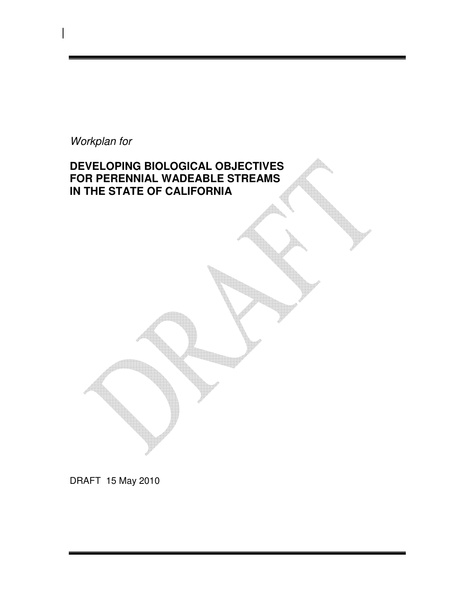Workplan for

# **DEVELOPING BIOLOGICAL OBJECTIVES FOR PERENNIAL WADEABLE STREAMS IN THE STATE OF CALIFORNIA**

DRAFT 15 May 2010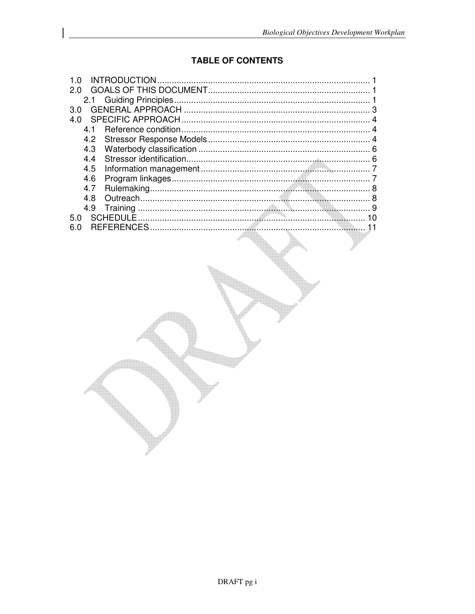## **TABLE OF CONTENTS**

| 2 በ |  |  |
|-----|--|--|
|     |  |  |
| 3.O |  |  |
| 4 በ |  |  |
| 41  |  |  |
| 4.2 |  |  |
| 4.3 |  |  |
| 44  |  |  |
| 4.5 |  |  |
| 4.6 |  |  |
| 4.7 |  |  |
| 4.8 |  |  |
| 4.9 |  |  |
| 5.0 |  |  |
| 6 በ |  |  |
|     |  |  |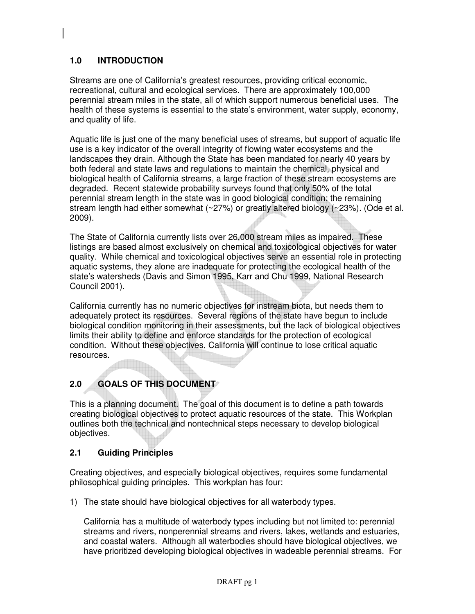## **1.0 INTRODUCTION**

Streams are one of California's greatest resources, providing critical economic, recreational, cultural and ecological services. There are approximately 100,000 perennial stream miles in the state, all of which support numerous beneficial uses. The health of these systems is essential to the state's environment, water supply, economy, and quality of life.

Aquatic life is just one of the many beneficial uses of streams, but support of aquatic life use is a key indicator of the overall integrity of flowing water ecosystems and the landscapes they drain. Although the State has been mandated for nearly 40 years by both federal and state laws and regulations to maintain the chemical, physical and biological health of California streams, a large fraction of these stream ecosystems are degraded. Recent statewide probability surveys found that only 50% of the total perennial stream length in the state was in good biological condition; the remaining stream length had either somewhat  $(\sim 27\%)$  or greatly altered biology  $(\sim 23\%)$ . (Ode et al. 2009).

The State of California currently lists over 26,000 stream miles as impaired. These listings are based almost exclusively on chemical and toxicological objectives for water quality. While chemical and toxicological objectives serve an essential role in protecting aquatic systems, they alone are inadequate for protecting the ecological health of the state's watersheds (Davis and Simon 1995, Karr and Chu 1999, National Research Council 2001).

California currently has no numeric objectives for instream biota, but needs them to adequately protect its resources. Several regions of the state have begun to include biological condition monitoring in their assessments, but the lack of biological objectives limits their ability to define and enforce standards for the protection of ecological condition. Without these objectives, California will continue to lose critical aquatic resources.

## **2.0 GOALS OF THIS DOCUMENT**

This is a planning document. The goal of this document is to define a path towards creating biological objectives to protect aquatic resources of the state. This Workplan outlines both the technical and nontechnical steps necessary to develop biological objectives.

#### **2.1 Guiding Principles**

Creating objectives, and especially biological objectives, requires some fundamental philosophical guiding principles. This workplan has four:

1) The state should have biological objectives for all waterbody types.

California has a multitude of waterbody types including but not limited to: perennial streams and rivers, nonperennial streams and rivers, lakes, wetlands and estuaries, and coastal waters. Although all waterbodies should have biological objectives, we have prioritized developing biological objectives in wadeable perennial streams. For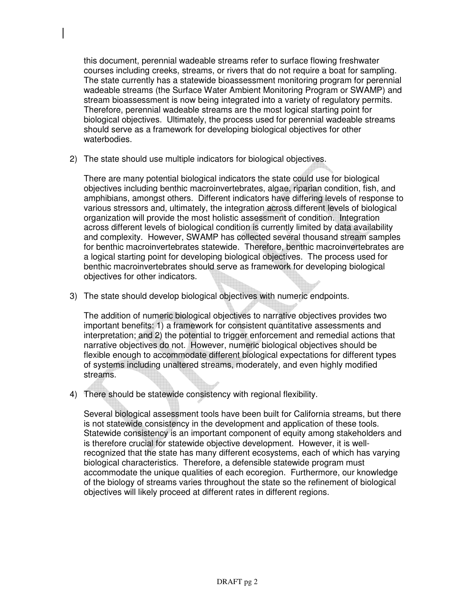this document, perennial wadeable streams refer to surface flowing freshwater courses including creeks, streams, or rivers that do not require a boat for sampling. The state currently has a statewide bioassessment monitoring program for perennial wadeable streams (the Surface Water Ambient Monitoring Program or SWAMP) and stream bioassessment is now being integrated into a variety of regulatory permits. Therefore, perennial wadeable streams are the most logical starting point for biological objectives. Ultimately, the process used for perennial wadeable streams should serve as a framework for developing biological objectives for other waterbodies.

2) The state should use multiple indicators for biological objectives.

There are many potential biological indicators the state could use for biological objectives including benthic macroinvertebrates, algae, riparian condition, fish, and amphibians, amongst others. Different indicators have differing levels of response to various stressors and, ultimately, the integration across different levels of biological organization will provide the most holistic assessment of condition. Integration across different levels of biological condition is currently limited by data availability and complexity. However, SWAMP has collected several thousand stream samples for benthic macroinvertebrates statewide. Therefore, benthic macroinvertebrates are a logical starting point for developing biological objectives. The process used for benthic macroinvertebrates should serve as framework for developing biological objectives for other indicators.

3) The state should develop biological objectives with numeric endpoints.

The addition of numeric biological objectives to narrative objectives provides two important benefits: 1) a framework for consistent quantitative assessments and interpretation; and 2) the potential to trigger enforcement and remedial actions that narrative objectives do not. However, numeric biological objectives should be flexible enough to accommodate different biological expectations for different types of systems including unaltered streams, moderately, and even highly modified streams.

4) There should be statewide consistency with regional flexibility.

Several biological assessment tools have been built for California streams, but there is not statewide consistency in the development and application of these tools. Statewide consistency is an important component of equity among stakeholders and is therefore crucial for statewide objective development. However, it is wellrecognized that the state has many different ecosystems, each of which has varying biological characteristics. Therefore, a defensible statewide program must accommodate the unique qualities of each ecoregion. Furthermore, our knowledge of the biology of streams varies throughout the state so the refinement of biological objectives will likely proceed at different rates in different regions.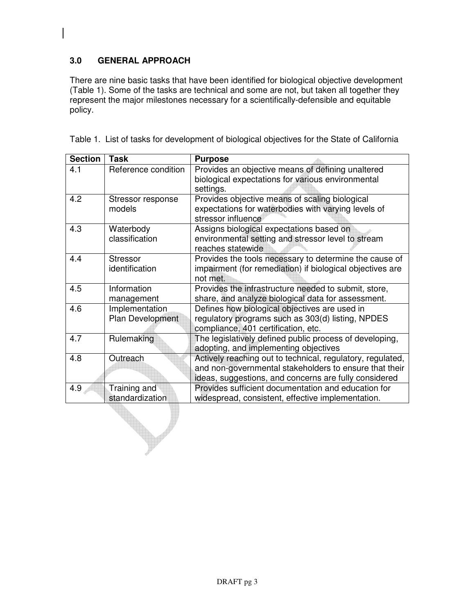## **3.0 GENERAL APPROACH**

There are nine basic tasks that have been identified for biological objective development (Table 1). Some of the tasks are technical and some are not, but taken all together they represent the major milestones necessary for a scientifically-defensible and equitable policy.

| <b>Section</b> | Task                | <b>Purpose</b>                                             |
|----------------|---------------------|------------------------------------------------------------|
| 4.1            | Reference condition | Provides an objective means of defining unaltered          |
|                |                     | biological expectations for various environmental          |
|                |                     | settings.                                                  |
| 4.2            | Stressor response   | Provides objective means of scaling biological             |
|                | models              | expectations for waterbodies with varying levels of        |
|                |                     | stressor influence                                         |
| 4.3            | Waterbody           | Assigns biological expectations based on                   |
|                | classification      | environmental setting and stressor level to stream         |
|                |                     | reaches statewide                                          |
| 4.4            | <b>Stressor</b>     | Provides the tools necessary to determine the cause of     |
|                | identification      | impairment (for remediation) if biological objectives are  |
|                |                     | not met.                                                   |
| 4.5            | Information         | Provides the infrastructure needed to submit, store,       |
|                | management          | share, and analyze biological data for assessment.         |
| 4.6            | Implementation      | Defines how biological objectives are used in              |
|                | Plan Development    | regulatory programs such as 303(d) listing, NPDES          |
|                |                     | compliance, 401 certification, etc.                        |
| 4.7            | Rulemaking          | The legislatively defined public process of developing,    |
|                |                     | adopting, and implementing objectives                      |
| 4.8            | Outreach            | Actively reaching out to technical, regulatory, regulated, |
|                |                     | and non-governmental stakeholders to ensure that their     |
|                |                     | ideas, suggestions, and concerns are fully considered      |
| 4.9            | Training and        | Provides sufficient documentation and education for        |
|                | standardization     | widespread, consistent, effective implementation.          |

Table 1. List of tasks for development of biological objectives for the State of California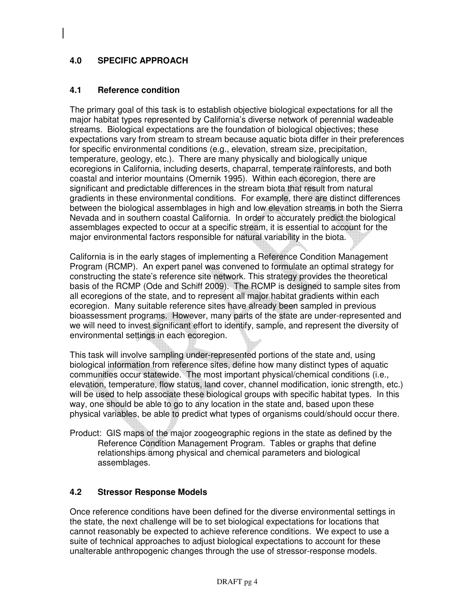## **4.0 SPECIFIC APPROACH**

#### **4.1 Reference condition**

The primary goal of this task is to establish objective biological expectations for all the major habitat types represented by California's diverse network of perennial wadeable streams. Biological expectations are the foundation of biological objectives; these expectations vary from stream to stream because aquatic biota differ in their preferences for specific environmental conditions (e.g., elevation, stream size, precipitation, temperature, geology, etc.). There are many physically and biologically unique ecoregions in California, including deserts, chaparral, temperate rainforests, and both coastal and interior mountains (Omernik 1995). Within each ecoregion, there are significant and predictable differences in the stream biota that result from natural gradients in these environmental conditions. For example, there are distinct differences between the biological assemblages in high and low elevation streams in both the Sierra Nevada and in southern coastal California. In order to accurately predict the biological assemblages expected to occur at a specific stream, it is essential to account for the major environmental factors responsible for natural variability in the biota.

California is in the early stages of implementing a Reference Condition Management Program (RCMP). An expert panel was convened to formulate an optimal strategy for constructing the state's reference site network. This strategy provides the theoretical basis of the RCMP (Ode and Schiff 2009). The RCMP is designed to sample sites from all ecoregions of the state, and to represent all major habitat gradients within each ecoregion. Many suitable reference sites have already been sampled in previous bioassessment programs. However, many parts of the state are under-represented and we will need to invest significant effort to identify, sample, and represent the diversity of environmental settings in each ecoregion.

This task will involve sampling under-represented portions of the state and, using biological information from reference sites, define how many distinct types of aquatic communities occur statewide. The most important physical/chemical conditions (i.e., elevation, temperature, flow status, land cover, channel modification, ionic strength, etc.) will be used to help associate these biological groups with specific habitat types. In this way, one should be able to go to any location in the state and, based upon these physical variables, be able to predict what types of organisms could/should occur there.

Product: GIS maps of the major zoogeographic regions in the state as defined by the Reference Condition Management Program. Tables or graphs that define relationships among physical and chemical parameters and biological assemblages.

#### **4.2 Stressor Response Models**

Once reference conditions have been defined for the diverse environmental settings in the state, the next challenge will be to set biological expectations for locations that cannot reasonably be expected to achieve reference conditions. We expect to use a suite of technical approaches to adjust biological expectations to account for these unalterable anthropogenic changes through the use of stressor-response models.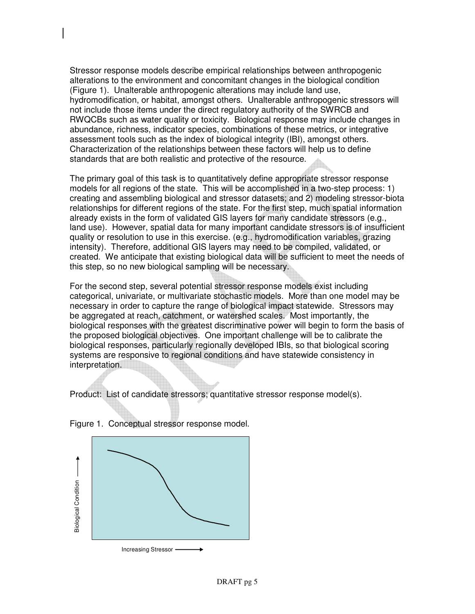Stressor response models describe empirical relationships between anthropogenic alterations to the environment and concomitant changes in the biological condition (Figure 1). Unalterable anthropogenic alterations may include land use, hydromodification, or habitat, amongst others. Unalterable anthropogenic stressors will not include those items under the direct regulatory authority of the SWRCB and RWQCBs such as water quality or toxicity. Biological response may include changes in abundance, richness, indicator species, combinations of these metrics, or integrative assessment tools such as the index of biological integrity (IBI), amongst others. Characterization of the relationships between these factors will help us to define standards that are both realistic and protective of the resource.

The primary goal of this task is to quantitatively define appropriate stressor response models for all regions of the state. This will be accomplished in a two-step process: 1) creating and assembling biological and stressor datasets; and 2) modeling stressor-biota relationships for different regions of the state. For the first step, much spatial information already exists in the form of validated GIS layers for many candidate stressors (e.g., land use). However, spatial data for many important candidate stressors is of insufficient quality or resolution to use in this exercise. (e.g., hydromodification variables, grazing intensity). Therefore, additional GIS layers may need to be compiled, validated, or created. We anticipate that existing biological data will be sufficient to meet the needs of this step, so no new biological sampling will be necessary.

For the second step, several potential stressor response models exist including categorical, univariate, or multivariate stochastic models. More than one model may be necessary in order to capture the range of biological impact statewide. Stressors may be aggregated at reach, catchment, or watershed scales. Most importantly, the biological responses with the greatest discriminative power will begin to form the basis of the proposed biological objectives. One important challenge will be to calibrate the biological responses, particularly regionally developed IBIs, so that biological scoring systems are responsive to regional conditions and have statewide consistency in interpretation.

Product: List of candidate stressors; quantitative stressor response model(s).



Figure 1. Conceptual stressor response model.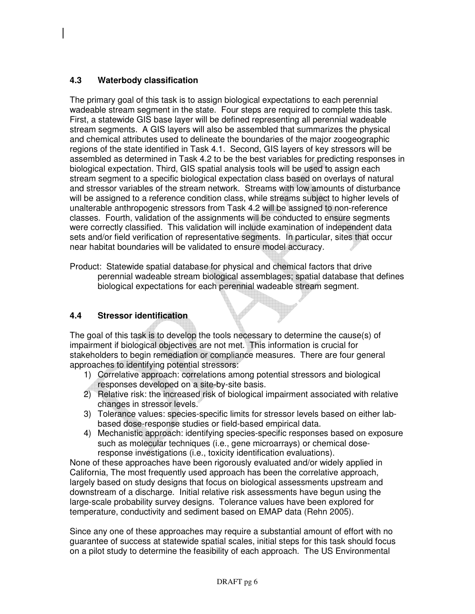### **4.3 Waterbody classification**

The primary goal of this task is to assign biological expectations to each perennial wadeable stream segment in the state. Four steps are required to complete this task. First, a statewide GIS base layer will be defined representing all perennial wadeable stream segments. A GIS layers will also be assembled that summarizes the physical and chemical attributes used to delineate the boundaries of the major zoogeographic regions of the state identified in Task 4.1. Second, GIS layers of key stressors will be assembled as determined in Task 4.2 to be the best variables for predicting responses in biological expectation. Third, GIS spatial analysis tools will be used to assign each stream segment to a specific biological expectation class based on overlays of natural and stressor variables of the stream network. Streams with low amounts of disturbance will be assigned to a reference condition class, while streams subject to higher levels of unalterable anthropogenic stressors from Task 4.2 will be assigned to non-reference classes. Fourth, validation of the assignments will be conducted to ensure segments were correctly classified. This validation will include examination of independent data sets and/or field verification of representative segments. In particular, sites that occur near habitat boundaries will be validated to ensure model accuracy.

Product: Statewide spatial database for physical and chemical factors that drive perennial wadeable stream biological assemblages; spatial database that defines biological expectations for each perennial wadeable stream segment.

#### **4.4 Stressor identification**

The goal of this task is to develop the tools necessary to determine the cause(s) of impairment if biological objectives are not met. This information is crucial for stakeholders to begin remediation or compliance measures. There are four general approaches to identifying potential stressors:

- 1) Correlative approach: correlations among potential stressors and biological responses developed on a site-by-site basis.
- 2) Relative risk: the increased risk of biological impairment associated with relative changes in stressor levels.
- 3) Tolerance values: species-specific limits for stressor levels based on either labbased dose-response studies or field-based empirical data.
- 4) Mechanistic approach: identifying species-specific responses based on exposure such as molecular techniques (i.e., gene microarrays) or chemical doseresponse investigations (i.e., toxicity identification evaluations).

None of these approaches have been rigorously evaluated and/or widely applied in California, The most frequently used approach has been the correlative approach, largely based on study designs that focus on biological assessments upstream and downstream of a discharge. Initial relative risk assessments have begun using the large-scale probability survey designs. Tolerance values have been explored for temperature, conductivity and sediment based on EMAP data (Rehn 2005).

Since any one of these approaches may require a substantial amount of effort with no guarantee of success at statewide spatial scales, initial steps for this task should focus on a pilot study to determine the feasibility of each approach. The US Environmental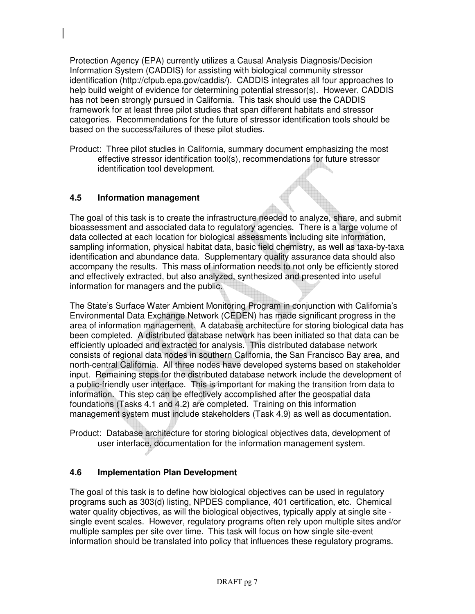Protection Agency (EPA) currently utilizes a Causal Analysis Diagnosis/Decision Information System (CADDIS) for assisting with biological community stressor identification (http://cfpub.epa.gov/caddis/). CADDIS integrates all four approaches to help build weight of evidence for determining potential stressor(s). However, CADDIS has not been strongly pursued in California. This task should use the CADDIS framework for at least three pilot studies that span different habitats and stressor categories. Recommendations for the future of stressor identification tools should be based on the success/failures of these pilot studies.

Product: Three pilot studies in California, summary document emphasizing the most effective stressor identification tool(s), recommendations for future stressor identification tool development.

#### **4.5 Information management**

The goal of this task is to create the infrastructure needed to analyze, share, and submit bioassessment and associated data to regulatory agencies. There is a large volume of data collected at each location for biological assessments including site information, sampling information, physical habitat data, basic field chemistry, as well as taxa-by-taxa identification and abundance data. Supplementary quality assurance data should also accompany the results. This mass of information needs to not only be efficiently stored and effectively extracted, but also analyzed, synthesized and presented into useful information for managers and the public.

The State's Surface Water Ambient Monitoring Program in conjunction with California's Environmental Data Exchange Network (CEDEN) has made significant progress in the area of information management. A database architecture for storing biological data has been completed. A distributed database network has been initiated so that data can be efficiently uploaded and extracted for analysis. This distributed database network consists of regional data nodes in southern California, the San Francisco Bay area, and north-central California. All three nodes have developed systems based on stakeholder input. Remaining steps for the distributed database network include the development of a public-friendly user interface. This is important for making the transition from data to information. This step can be effectively accomplished after the geospatial data foundations (Tasks 4.1 and 4.2) are completed. Training on this information management system must include stakeholders (Task 4.9) as well as documentation.

Product: Database architecture for storing biological objectives data, development of user interface, documentation for the information management system.

#### **4.6 Implementation Plan Development**

The goal of this task is to define how biological objectives can be used in regulatory programs such as 303(d) listing, NPDES compliance, 401 certification, etc. Chemical water quality objectives, as will the biological objectives, typically apply at single site single event scales. However, regulatory programs often rely upon multiple sites and/or multiple samples per site over time. This task will focus on how single site-event information should be translated into policy that influences these regulatory programs.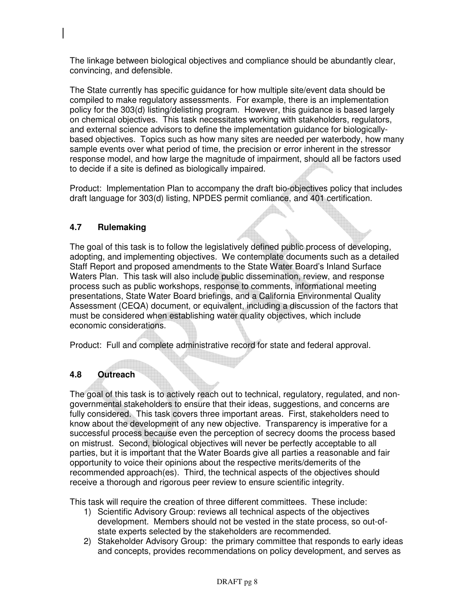The linkage between biological objectives and compliance should be abundantly clear, convincing, and defensible.

The State currently has specific guidance for how multiple site/event data should be compiled to make regulatory assessments. For example, there is an implementation policy for the 303(d) listing/delisting program. However, this guidance is based largely on chemical objectives. This task necessitates working with stakeholders, regulators, and external science advisors to define the implementation guidance for biologicallybased objectives. Topics such as how many sites are needed per waterbody, how many sample events over what period of time, the precision or error inherent in the stressor response model, and how large the magnitude of impairment, should all be factors used to decide if a site is defined as biologically impaired.

Product: Implementation Plan to accompany the draft bio-objectives policy that includes draft language for 303(d) listing, NPDES permit comliance, and 401 certification.

#### **4.7 Rulemaking**

The goal of this task is to follow the legislatively defined public process of developing, adopting, and implementing objectives. We contemplate documents such as a detailed Staff Report and proposed amendments to the State Water Board's Inland Surface Waters Plan. This task will also include public dissemination, review, and response process such as public workshops, response to comments, informational meeting presentations, State Water Board briefings, and a California Environmental Quality Assessment (CEQA) document, or equivalent, including a discussion of the factors that must be considered when establishing water quality objectives, which include economic considerations.

Product: Full and complete administrative record for state and federal approval.

#### **4.8 Outreach**

The goal of this task is to actively reach out to technical, regulatory, regulated, and nongovernmental stakeholders to ensure that their ideas, suggestions, and concerns are fully considered. This task covers three important areas. First, stakeholders need to know about the development of any new objective. Transparency is imperative for a successful process because even the perception of secrecy dooms the process based on mistrust. Second, biological objectives will never be perfectly acceptable to all parties, but it is important that the Water Boards give all parties a reasonable and fair opportunity to voice their opinions about the respective merits/demerits of the recommended approach(es). Third, the technical aspects of the objectives should receive a thorough and rigorous peer review to ensure scientific integrity.

This task will require the creation of three different committees. These include:

- 1) Scientific Advisory Group: reviews all technical aspects of the objectives development. Members should not be vested in the state process, so out-ofstate experts selected by the stakeholders are recommended.
- 2) Stakeholder Advisory Group: the primary committee that responds to early ideas and concepts, provides recommendations on policy development, and serves as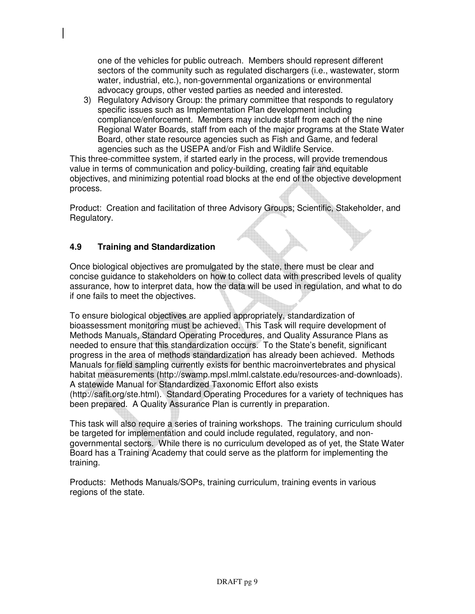one of the vehicles for public outreach. Members should represent different sectors of the community such as regulated dischargers (i.e., wastewater, storm water, industrial, etc.), non-governmental organizations or environmental advocacy groups, other vested parties as needed and interested.

3) Regulatory Advisory Group: the primary committee that responds to regulatory specific issues such as Implementation Plan development including compliance/enforcement. Members may include staff from each of the nine Regional Water Boards, staff from each of the major programs at the State Water Board, other state resource agencies such as Fish and Game, and federal agencies such as the USEPA and/or Fish and Wildlife Service.

This three-committee system, if started early in the process, will provide tremendous value in terms of communication and policy-building, creating fair and equitable objectives, and minimizing potential road blocks at the end of the objective development process.

Product: Creation and facilitation of three Advisory Groups; Scientific, Stakeholder, and Regulatory.

#### **4.9 Training and Standardization**

Once biological objectives are promulgated by the state, there must be clear and concise guidance to stakeholders on how to collect data with prescribed levels of quality assurance, how to interpret data, how the data will be used in regulation, and what to do if one fails to meet the objectives.

To ensure biological objectives are applied appropriately, standardization of bioassessment monitoring must be achieved. This Task will require development of Methods Manuals, Standard Operating Procedures, and Quality Assurance Plans as needed to ensure that this standardization occurs. To the State's benefit, significant progress in the area of methods standardization has already been achieved. Methods Manuals for field sampling currently exists for benthic macroinvertebrates and physical habitat measurements (http://swamp.mpsl.mlml.calstate.edu/resources-and-downloads). A statewide Manual for Standardized Taxonomic Effort also exists (http://safit.org/ste.html). Standard Operating Procedures for a variety of techniques has been prepared. A Quality Assurance Plan is currently in preparation.

This task will also require a series of training workshops. The training curriculum should be targeted for implementation and could include regulated, regulatory, and nongovernmental sectors. While there is no curriculum developed as of yet, the State Water Board has a Training Academy that could serve as the platform for implementing the training.

Products: Methods Manuals/SOPs, training curriculum, training events in various regions of the state.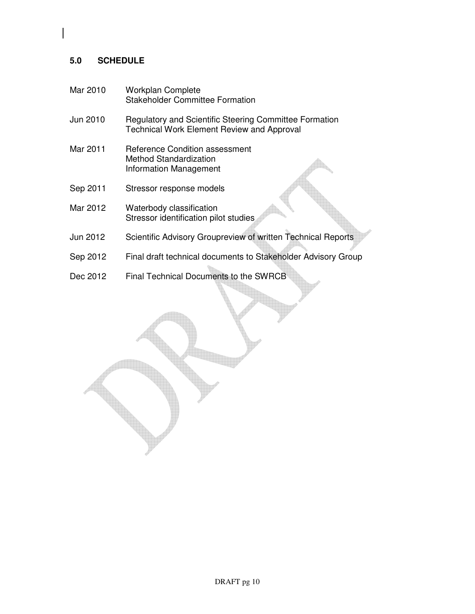### **5.0 SCHEDULE**

- Mar 2010 Workplan Complete Stakeholder Committee Formation
- Jun 2010 Regulatory and Scientific Steering Committee Formation Technical Work Element Review and Approval
- Mar 2011 Reference Condition assessment Method Standardization Information Management
- Sep 2011 Stressor response models
- Mar 2012 Waterbody classification Stressor identification pilot studies
- Jun 2012 Scientific Advisory Groupreview of written Technical Reports
- Sep 2012 Final draft technical documents to Stakeholder Advisory Group
- Dec 2012 Final Technical Documents to the SWRCB